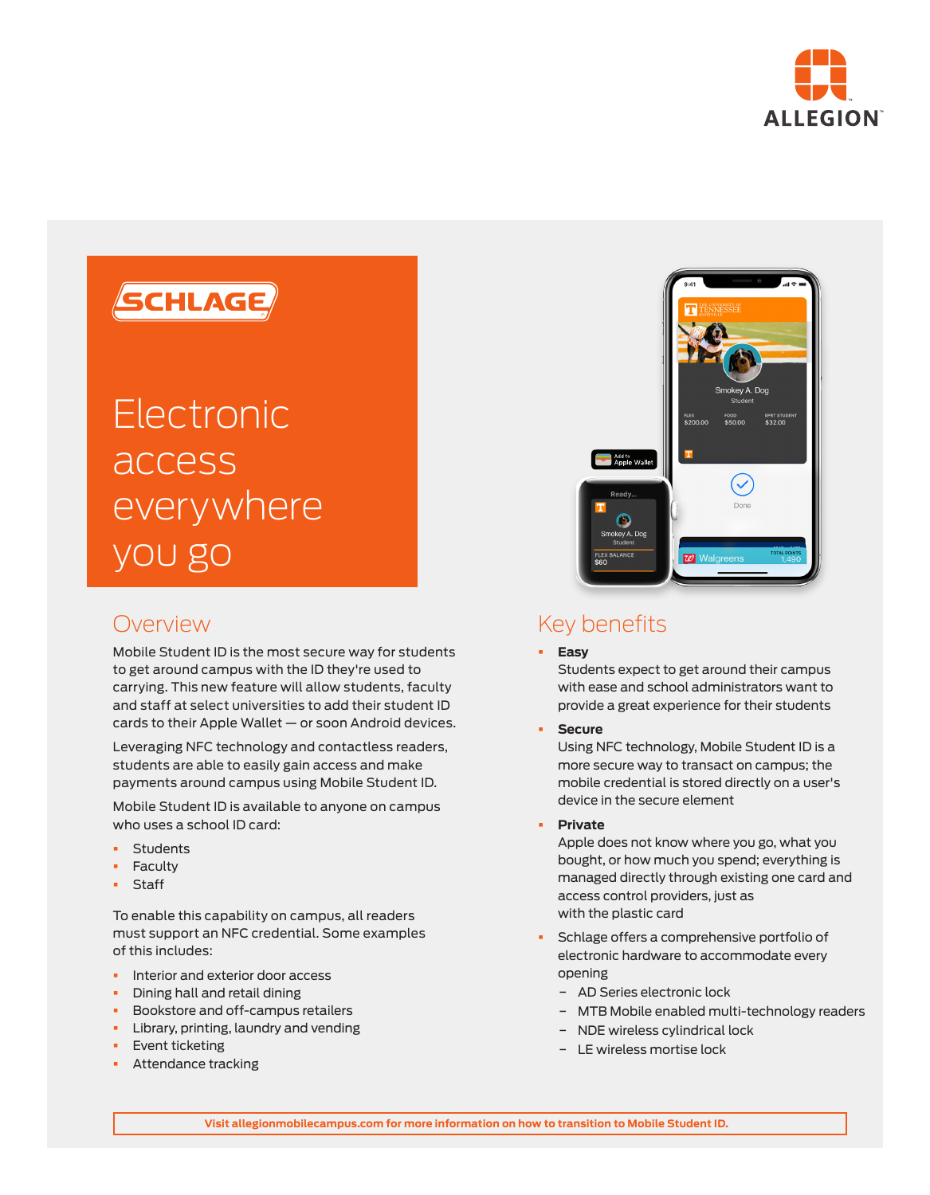

## SCHLAGE

# Electronic access everywhere you go

### Overview

Mobile Student ID is the most secure way for students to get around campus with the ID they're used to carrying. This new feature will allow students, faculty and staff at select universities to add their student ID cards to their Apple Wallet — or soon Android devices.

Leveraging NFC technology and contactless readers, students are able to easily gain access and make payments around campus using Mobile Student ID.

Mobile Student ID is available to anyone on campus who uses a school ID card:

- § Students
- § Faculty
- **Staff**

To enable this capability on campus, all readers must support an NFC credential. Some examples of this includes:

- **•** Interior and exterior door access
- § Dining hall and retail dining
- § Bookstore and off-campus retailers
- **•** Library, printing, laundry and vending
- § Event ticketing
- **•** Attendance tracking



## Key benefits

#### § **Easy**

Students expect to get around their campus with ease and school administrators want to provide a great experience for their students

§ **Secure**

Using NFC technology, Mobile Student ID is a more secure way to transact on campus; the mobile credential is stored directly on a user's device in the secure element

§ **Private**

Apple does not know where you go, what you bought, or how much you spend; everything is managed directly through existing one card and access control providers, just as with the plastic card

- § Schlage offers a comprehensive portfolio of electronic hardware to accommodate every opening
	- − AD Series electronic lock
	- − MTB Mobile enabled multi-technology readers
	- − NDE wireless cylindrical lock
	- − LE wireless mortise lock